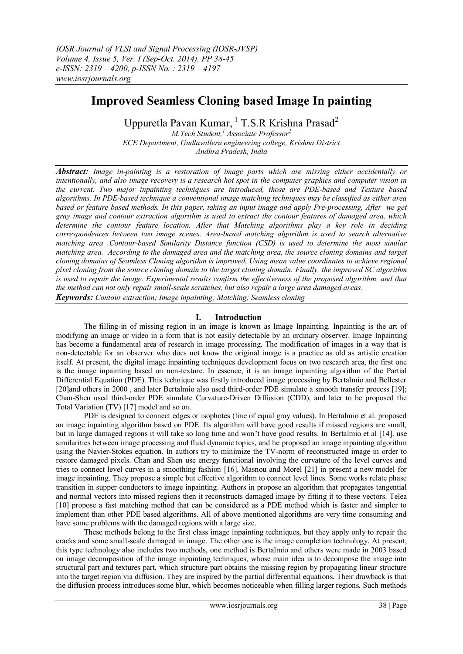# **Improved Seamless Cloning based Image In painting**

Uppuretla Pavan Kumar, <sup>1</sup> T.S.R Krishna Prasad<sup>2</sup> *M.Tech Student,<sup>1</sup> Associate Professor<sup>2</sup> ECE Department, Gudlavalleru engineering college, Krishna District*

*Andhra Pradesh, India*

*Abstract: Image in-painting is a restoration of image parts which are missing either accidentally or intentionally, and also image recovery is a research hot spot in the computer graphics and computer vision in the current. Two major inpainting techniques are introduced, those are PDE-based and Texture based algorithms. In PDE-based technique a conventional image matching techniques may be classified as either area based or feature based methods. In this paper, taking an input image and apply Pre-processing, After we get gray image and contour extraction algorithm is used to extract the contour features of damaged area, which determine the contour feature location. After that Matching algorithms play a key role in deciding correspondences between two image scenes. Area-based matching algorithm is used to search alternative matching area .Contour-based Similarity Distance function (CSD) is used to determine the most similar matching area. According to the damaged area and the matching area, the source cloning domains and target cloning domains of Seamless Cloning algorithm is improved. Using mean value coordinates to achieve regional pixel cloning from the source cloning domain to the target cloning domain. Finally, the improved SC algorithm is used to repair the image. Experimental results confirm the effectiveness of the proposed algorithm, and that the method can not only repair small-scale scratches, but also repair a large area damaged areas. Keywords: Contour extraction; Image inpainting; Matching; Seamless cloning*

# **I. Introduction**

The filling-in of missing region in an image is known as Image Inpainting. Inpainting is the art of modifying an image or video in a form that is not easily detectable by an ordinary observer. Image Inpainting has become a fundamental area of research in image processing. The modification of images in a way that is non-detectable for an observer who does not know the original image is a practice as old as artistic creation itself. At present, the digital image inpainting techniques development focus on two research area, the first one is the image inpainting based on non-texture. In essence, it is an image inpainting algorithm of the Partial Differential Equation (PDE). This technique was firstly introduced image processing by Bertalmio and Bellester [20]and others in 2000, and later Bertalmio also used third-order PDE simulate a smooth transfer process [19]; Chan-Shen used third-order PDE simulate Curvature-Driven Diffusion (CDD), and later to be proposed the Total Variation (TV) [17] model and so on.

PDE is designed to connect edges or isophotes (line of equal gray values). In Bertalmio et al. proposed an image inpainting algorithm based on PDE. Its algorithm will have good results if missed regions are small, but in large damaged regions it will take so long time and won't have good results. In Bertalmio et al [14]. use similarities between image processing and fluid dynamic topics, and he proposed an image inpainting algorithm using the Navier-Stokes equation. In authors try to minimize the TV-norm of reconstructed image in order to restore damaged pixels. Chan and Shen use energy functional involving the curvature of the level curves and tries to connect level curves in a smoothing fashion [16]. Masnou and Morel [21] in present a new model for image inpainting. They propose a simple but effective algorithm to connect level lines. Some works relate phase transition in supper conductors to image inpainting. Authors in propose an algorithm that propagates tangential and normal vectors into missed regions then it reconstructs damaged image by fitting it to these vectors. Telea [10] propose a fast matching method that can be considered as a PDE method which is faster and simpler to implement than other PDE based algorithms. All of above mentioned algorithms are very time consuming and have some problems with the damaged regions with a large size.

These methods belong to the first class image inpainting techniques, but they apply only to repair the cracks and some small-scale damaged in image. The other one is the image completion technology. At present, this type technology also includes two methods, one method is Bertalmio and others were made in 2003 based on image decomposition of the image inpainting techniques, whose main idea is to decompose the image into structural part and textures part, which structure part obtains the missing region by propagating linear structure into the target region via diffusion. They are inspired by the partial differential equations. Their drawback is that the diffusion process introduces some blur, which becomes noticeable when filling larger regions. Such methods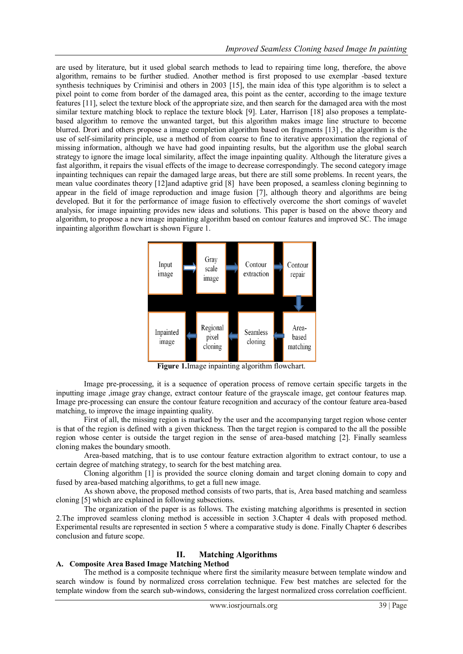are used by literature, but it used global search methods to lead to repairing time long, therefore, the above algorithm, remains to be further studied. Another method is first proposed to use exemplar -based texture synthesis techniques by Criminisi and others in 2003 [15], the main idea of this type algorithm is to select a pixel point to come from border of the damaged area, this point as the center, according to the image texture features [11], select the texture block of the appropriate size, and then search for the damaged area with the most similar texture matching block to replace the texture block [9]. Later, Harrison [18] also proposes a templatebased algorithm to remove the unwanted target, but this algorithm makes image line structure to become blurred. Drori and others propose a image completion algorithm based on fragments [13] , the algorithm is the use of self-similarity principle, use a method of from coarse to fine to iterative approximation the regional of missing information, although we have had good inpainting results, but the algorithm use the global search strategy to ignore the image local similarity, affect the image inpainting quality. Although the literature gives a fast algorithm, it repairs the visual effects of the image to decrease correspondingly. The second category image inpainting techniques can repair the damaged large areas, but there are still some problems. In recent years, the mean value coordinates theory [12]and adaptive grid [8] have been proposed, a seamless cloning beginning to appear in the field of image reproduction and image fusion [7], although theory and algorithms are being developed. But it for the performance of image fusion to effectively overcome the short comings of wavelet analysis, for image inpainting provides new ideas and solutions. This paper is based on the above theory and algorithm, to propose a new image inpainting algorithm based on contour features and improved SC. The image inpainting algorithm flowchart is shown Figure 1.



**Figure 1.**Image inpainting algorithm flowchart.

Image pre-processing, it is a sequence of operation process of remove certain specific targets in the inputting image ,image gray change, extract contour feature of the grayscale image, get contour features map. Image pre-processing can ensure the contour feature recognition and accuracy of the contour feature area-based matching, to improve the image inpainting quality.

First of all, the missing region is marked by the user and the accompanying target region whose center is that of the region is defined with a given thickness. Then the target region is compared to the all the possible region whose center is outside the target region in the sense of area-based matching [2]. Finally seamless cloning makes the boundary smooth.

Area-based matching, that is to use contour feature extraction algorithm to extract contour, to use a certain degree of matching strategy, to search for the best matching area.

Cloning algorithm [1] is provided the source cloning domain and target cloning domain to copy and fused by area-based matching algorithms, to get a full new image.

As shown above, the proposed method consists of two parts, that is, Area based matching and seamless cloning [5] which are explained in following subsections.

The organization of the paper is as follows. The existing matching algorithms is presented in section 2.The improved seamless cloning method is accessible in section 3.Chapter 4 deals with proposed method. Experimental results are represented in section 5 where a comparative study is done. Finally Chapter 6 describes conclusion and future scope.

## **II. Matching Algorithms**

# **A. Composite Area Based Image Matching Method**

The method is a composite technique where first the similarity measure between template window and search window is found by normalized cross correlation technique. Few best matches are selected for the template window from the search sub-windows, considering the largest normalized cross correlation coefficient.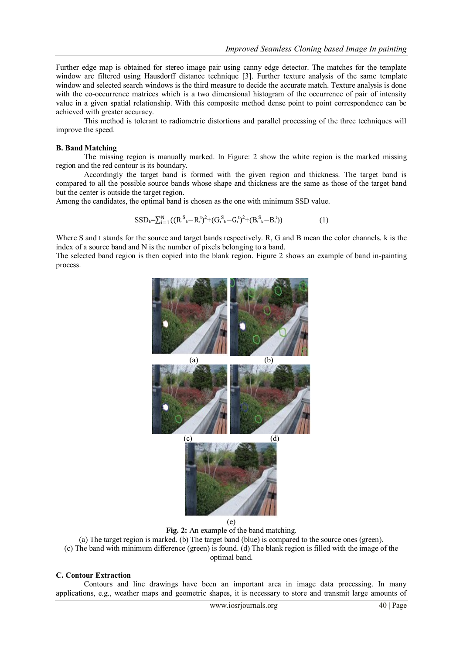Further edge map is obtained for stereo image pair using canny edge detector. The matches for the template window are filtered using Hausdorff distance technique [3]. Further texture analysis of the same template window and selected search windows is the third measure to decide the accurate match. Texture analysis is done with the co-occurrence matrices which is a two dimensional histogram of the occurrence of pair of intensity value in a given spatial relationship. With this composite method dense point to point correspondence can be achieved with greater accuracy.

This method is tolerant to radiometric distortions and parallel processing of the three techniques will improve the speed.

#### **B. Band Matching**

The missing region is manually marked. In Figure: 2 show the white region is the marked missing region and the red contour is its boundary.

Accordingly the target band is formed with the given region and thickness. The target band is compared to all the possible source bands whose shape and thickness are the same as those of the target band but the center is outside the target region.

Among the candidates, the optimal band is chosen as the one with minimum SSD value.

$$
SSD_k = \sum_{i=1}^{N} ((R_i^S - R_i^t)^2 + (G_i^S - G_i^t)^2 + (B_i^S - B_i^t))
$$
\n
$$
(1)
$$

Where S and t stands for the source and target bands respectively. R, G and B mean the color channels. k is the index of a source band and N is the number of pixels belonging to a band.

The selected band region is then copied into the blank region. Figure 2 shows an example of band in-painting process.



**Fig. 2:** An example of the band matching.

(a) The target region is marked. (b) The target band (blue) is compared to the source ones (green).

(c) The band with minimum difference (green) is found. (d) The blank region is filled with the image of the optimal band.

#### **C. Contour Extraction**

Contours and line drawings have been an important area in image data processing. In many applications, e.g., weather maps and geometric shapes, it is necessary to store and transmit large amounts of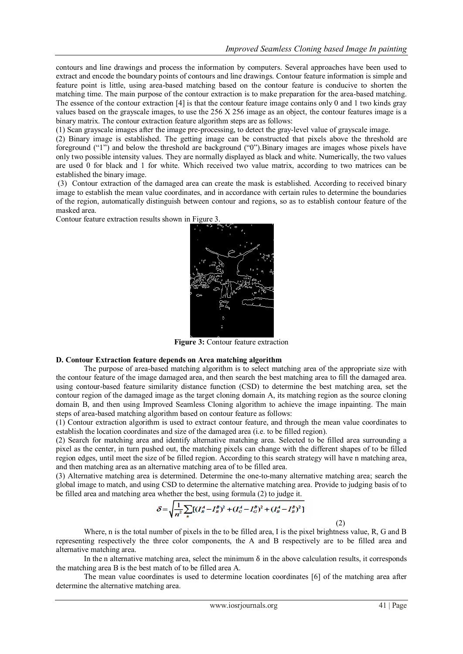contours and line drawings and process the information by computers. Several approaches have been used to extract and encode the boundary points of contours and line drawings. Contour feature information is simple and feature point is little, using area-based matching based on the contour feature is conducive to shorten the matching time. The main purpose of the contour extraction is to make preparation for the area-based matching. The essence of the contour extraction [4] is that the contour feature image contains only 0 and 1 two kinds gray values based on the grayscale images, to use the 256 X 256 image as an object, the contour features image is a binary matrix. The contour extraction feature algorithm steps are as follows:

(1) Scan grayscale images after the image pre-processing, to detect the gray-level value of grayscale image.

(2) Binary image is established. The getting image can be constructed that pixels above the threshold are foreground ("1") and below the threshold are background ("0").Binary images are images whose pixels have only two possible intensity values. They are normally displayed as black and white. Numerically, the two values are used 0 for black and 1 for white. Which received two value matrix, according to two matrices can be established the binary image.

(3) Contour extraction of the damaged area can create the mask is established. According to received binary image to establish the mean value coordinates, and in accordance with certain rules to determine the boundaries of the region, automatically distinguish between contour and regions, so as to establish contour feature of the masked area.

Contour feature extraction results shown in Figure 3.



**Figure 3:** Contour feature extraction

## **D. Contour Extraction feature depends on Area matching algorithm**

The purpose of area-based matching algorithm is to select matching area of the appropriate size with the contour feature of the image damaged area, and then search the best matching area to fill the damaged area. using contour-based feature similarity distance function (CSD) to determine the best matching area, set the contour region of the damaged image as the target cloning domain A, its matching region as the source cloning domain B, and then using Improved Seamless Cloning algorithm to achieve the image inpainting. The main steps of area-based matching algorithm based on contour feature as follows:

(1) Contour extraction algorithm is used to extract contour feature, and through the mean value coordinates to establish the location coordinates and size of the damaged area (i.e. to be filled region).

(2) Search for matching area and identify alternative matching area. Selected to be filled area surrounding a pixel as the center, in turn pushed out, the matching pixels can change with the different shapes of to be filled region edges, until meet the size of be filled region. According to this search strategy will have n matching area, and then matching area as an alternative matching area of to be filled area.

(3) Alternative matching area is determined. Determine the one-to-many alternative matching area; search the global image to match, and using CSD to determine the alternative matching area. Provide to judging basis of to be filled area and matching area whether the best, using formula (2) to judge it.

$$
\delta = \sqrt{\frac{1}{n^2} \sum_{n} \left[ (I_R^A - I_R^B)^2 + (I_G^A - I_G^B)^2 + (I_B^A - I_B^B)^2 \right]}
$$
\n(2)

Where, n is the total number of pixels in the to be filled area, I is the pixel brightness value, R, G and B representing respectively the three color components, the A and B respectively are to be filled area and alternative matching area.

In the n alternative matching area, select the minimum  $\delta$  in the above calculation results, it corresponds the matching area B is the best match of to be filled area A.

The mean value coordinates is used to determine location coordinates [6] of the matching area after determine the alternative matching area.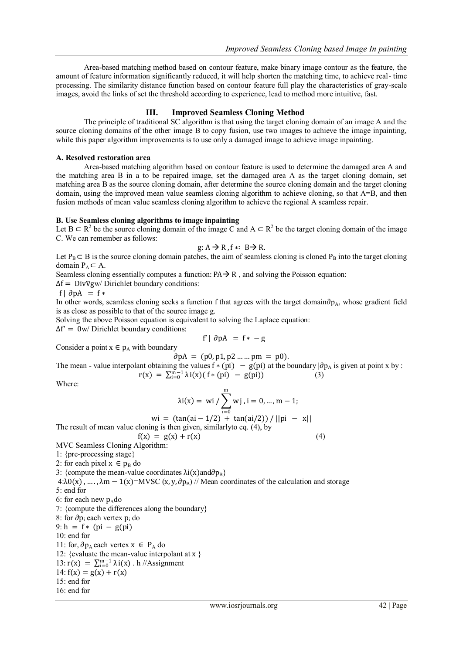Area-based matching method based on contour feature, make binary image contour as the feature, the amount of feature information significantly reduced, it will help shorten the matching time, to achieve real- time processing. The similarity distance function based on contour feature full play the characteristics of gray-scale images, avoid the links of set the threshold according to experience, lead to method more intuitive, fast.

## **III. Improved Seamless Cloning Method**

The principle of traditional SC algorithm is that using the target cloning domain of an image A and the source cloning domains of the other image B to copy fusion, use two images to achieve the image inpainting, while this paper algorithm improvements is to use only a damaged image to achieve image inpainting.

## **A. Resolved restoration area**

Area-based matching algorithm based on contour feature is used to determine the damaged area A and the matching area B in a to be repaired image, set the damaged area A as the target cloning domain, set matching area B as the source cloning domain, after determine the source cloning domain and the target cloning domain, using the improved mean value seamless cloning algorithm to achieve cloning, so that A=B, and then fusion methods of mean value seamless cloning algorithm to achieve the regional A seamless repair.

## **B. Use Seamless cloning algorithms to image inpainting**

Let B ⊂ R<sup>2</sup> be the source cloning domain of the image C and A ⊂ R<sup>2</sup> be the target cloning domain of the image C. We can remember as follows:

$$
g: A \rightarrow R
$$
,  $f * : B \rightarrow R$ .

Let P<sub>B</sub> ⊂ B is the source cloning domain patches, the aim of seamless cloning is cloned P<sub>B</sub> into the target cloning domain  $P_A \subset A$ .

Seamless cloning essentially computes a function:  $PA \rightarrow R$ , and solving the Poisson equation:

 $\Delta f = \text{Div}\nabla g$ w/ Dirichlet boundary conditions:

f |  $\partial pA = f *$ 

In other words, seamless cloning seeks a function f that agrees with the target domain∂p<sub>A</sub>, whose gradient field is as close as possible to that of the source image g.

Solving the above Poisson equation is equivalent to solving the Laplace equation:

 $\Delta f' = 0$ w/ Dirichlet boundary conditions:

$$
f' | \partial pA = f * - g
$$

Consider a point  $x \in p_A$  with boundary

 $\partial pA = (p0, p1, p2 \dots pm = p0).$ 

The mean - value interpolant obtaining the values  $f * (pi) - g(pi)$  at the boundary  $|\partial p_A|$  is given at point x by :  $r(x) = \sum_{i=0}^{m-1} \lambda i(x) (f * (pi) - g(pi))$  (3)

Where:

$$
\lambda i(x) = wi / \sum_{i=0}^{m} w j, i = 0, ..., m - 1;
$$
  
wi = (tan(ai – 1/2) + tan(ai/2)) / ||pi – x||

$$
W1 = (\tan(\text{at} - 1/2) + \tan(\text{at} / 2))/||p1|
$$
  
ult of mean value cloning is then given similarly to eq. (4) by

The result of mean value cloning is then given, similarlyto eq. (4), by

$$
f(x) = g(x) + r(x)
$$
\n<sup>(4)</sup>

MVC Seamless Cloning Algorithm: 1: {pre-processing stage}

2: for each pixel  $x \in p_B$  do

3: {compute the mean-value coordinates  $\lambda i(x)$  and  $\partial p_B$ }

 $4:\lambda O(x)$ , …,  $\lambda m - 1(x) = MVSC(x, y, \partial p_B)$  // Mean coordinates of the calculation and storage 5: end for

6: for each new  $p_{A}$ do

7: {compute the differences along the boundary}

8: for ∂p<sub>i</sub> each vertex p<sub>i</sub> do

9:  $h = f * (pi - g(pi))$ 

10: end for

11: for,  $\partial p_A$  each vertex  $x \in P_A$  do

12: {evaluate the mean-value interpolant at x }

13:  $r(x) = \sum_{i=0}^{m-1} \lambda i(x)$ . h //Assignment

14:  $f(x) = g(x) + r(x)$ 

$$
15: end for
$$

16: end for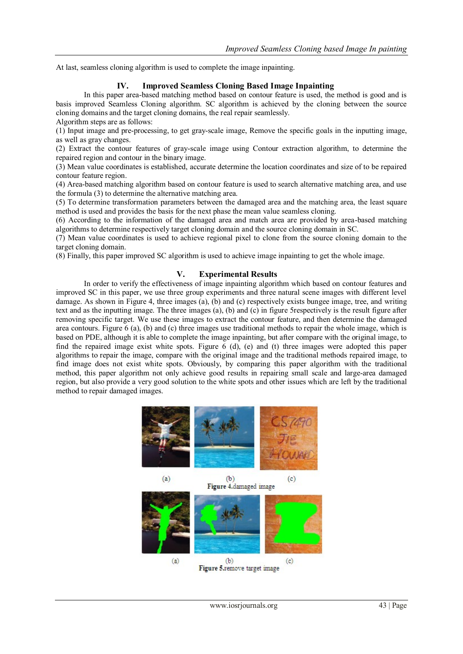At last, seamless cloning algorithm is used to complete the image inpainting.

# **IV. Improved Seamless Cloning Based Image Inpainting**

In this paper area-based matching method based on contour feature is used, the method is good and is basis improved Seamless Cloning algorithm. SC algorithm is achieved by the cloning between the source cloning domains and the target cloning domains, the real repair seamlessly.

Algorithm steps are as follows:

(1) Input image and pre-processing, to get gray-scale image, Remove the specific goals in the inputting image, as well as gray changes.

(2) Extract the contour features of gray-scale image using Contour extraction algorithm, to determine the repaired region and contour in the binary image.

(3) Mean value coordinates is established, accurate determine the location coordinates and size of to be repaired contour feature region.

(4) Area-based matching algorithm based on contour feature is used to search alternative matching area, and use the formula (3) to determine the alternative matching area.

(5) To determine transformation parameters between the damaged area and the matching area, the least square method is used and provides the basis for the next phase the mean value seamless cloning.

(6) According to the information of the damaged area and match area are provided by area-based matching algorithms to determine respectively target cloning domain and the source cloning domain in SC.

(7) Mean value coordinates is used to achieve regional pixel to clone from the source cloning domain to the target cloning domain.

(8) Finally, this paper improved SC algorithm is used to achieve image inpainting to get the whole image.

## **V. Experimental Results**

In order to verify the effectiveness of image inpainting algorithm which based on contour features and improved SC in this paper, we use three group experiments and three natural scene images with different level damage. As shown in Figure 4, three images (a), (b) and (c) respectively exists bungee image, tree, and writing text and as the inputting image. The three images (a), (b) and (c) in figure 5respectively is the result figure after removing specific target. We use these images to extract the contour feature, and then determine the damaged area contours. Figure 6 (a), (b) and (c) three images use traditional methods to repair the whole image, which is based on PDE, although it is able to complete the image inpainting, but after compare with the original image, to find the repaired image exist white spots. Figure 6 (d), (e) and (t) three images were adopted this paper algorithms to repair the image, compare with the original image and the traditional methods repaired image, to find image does not exist white spots. Obviously, by comparing this paper algorithm with the traditional method, this paper algorithm not only achieve good results in repairing small scale and large-area damaged region, but also provide a very good solution to the white spots and other issues which are left by the traditional method to repair damaged images.

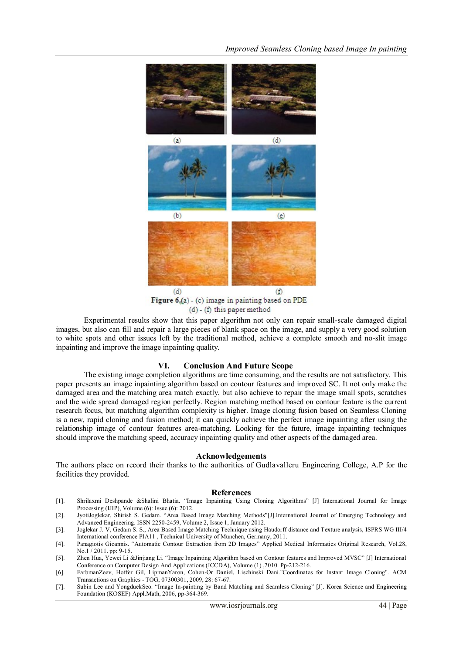

 $(d)$  -  $(f)$  this paper method

Experimental results show that this paper algorithm not only can repair small-scale damaged digital images, but also can fill and repair a large pieces of blank space on the image, and supply a very good solution to white spots and other issues left by the traditional method, achieve a complete smooth and no-slit image inpainting and improve the image inpainting quality.

#### **VI. Conclusion And Future Scope**

The existing image completion algorithms are time consuming, and the results are not satisfactory. This paper presents an image inpainting algorithm based on contour features and improved SC. It not only make the damaged area and the matching area match exactly, but also achieve to repair the image small spots, scratches and the wide spread damaged region perfectly. Region matching method based on contour feature is the current research focus, but matching algorithm complexity is higher. Image cloning fusion based on Seamless Cloning is a new, rapid cloning and fusion method; it can quickly achieve the perfect image inpainting after using the relationship image of contour features area-matching. Looking for the future, image inpainting techniques should improve the matching speed, accuracy inpainting quality and other aspects of the damaged area.

#### **Acknowledgements**

The authors place on record their thanks to the authorities of Gudlavalleru Engineering College, A.P for the facilities they provided.

#### **References**

- [1]. Shrilaxmi Deshpande &Shalini Bhatia. "Image Inpainting Using Cloning Algorithms" [J] International Journal for Image Processing (IJIP), Volume (6): Issue (6): 2012.
- [2]. JyotiJoglekar, Shirish S. Gedam. "Area Based Image Matching Methods"[J].International Journal of Emerging Technology and Advanced Engineering. ISSN 2250-2459, Volume 2, Issue 1, January 2012.
- [3]. Joglekar J. V, Gedam S. S., Area Based Image Matching Technique using Haudorff distance and Texture analysis, ISPRS WG III/4 International conference PIA11 , Technical University of Munchen, Germany, 2011.
- [4]. Panagiotis Gioannis. "Automatic Contour Extraction from 2D Images" Applied Medical Informatics Original Research, Vol.28, No.1 / 2011. pp: 9-15.
- [5]. Zhen Hua, Yewei Li &Jinjiang Li. "Image Inpainting Algorithm based on Contour features and Improved MVSC" [J] International Conference on Computer Design And Applications (ICCDA), Volume (1) ,2010. Pp-212-216.
- [6]. FarbmanZeev, Hoffer Gil, LipmanYaron, Cohen-Or Daniel, Lischinski Dani."Coordinates for Instant Image Cloning". ACM Transactions on Graphics - TOG, 07300301, 2009, 28: 67-67.
- [7]. Subin Lee and YongduekSeo. "Image In-painting by Band Matching and Seamless Cloning" [J]. Korea Science and Engineering Foundation (KOSEF) Appl.Math, 2006, pp-364-369.